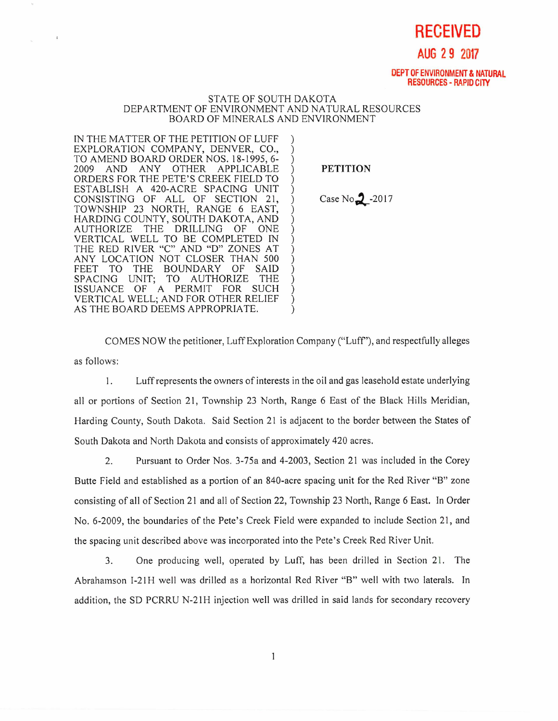**RECEIVED** 

## **AUG 2 9 2017**

**DEPT OF ENVIRONMENT & NATURAL RESOURCES - RAPID CITY** 

## STATE OF SOUTH DAKOTA DEPARTMENT OF ENVIRONMENT AND NATURAL RESOURCES BOARD OF MINERALS AND ENVIRONMENT

IN THE MATTER OF THE PETITION OF LUFF EXPLORATION COMPANY, DENVER, CO., TO AMEND BOARD ORDER NOS. 18-1995, 6- 2009 AND ANY OTHER APPLICABLE ORDERS FOR THE PETE'S CREEK FIELD TO ESTABLISH A 420-ACRE SPACING UNIT CONSISTING OF ALL OF SECTION 21, TOWNSHIP 23 NORTH, RANGE 6 EAST, HARDING COUNTY, SOUTH DAKOTA, AND THE DRILLING OF ONE VERTICAL WELL TO BE COMPLETED IN THE RED RIVER "C" AND "D" ZONES AT ANY LOCATION NOT CLOSER THAN 500<br>FEET TO THE BOUNDARY OF SAID TO THE BOUNDARY OF SAID<br>G UNIT: TO AUTHORIZE THE SPACING UNIT; TO AUTHORIZE THE ISSUANCE OF A PERMIT FOR SUCH VERTICAL WELL; AND FOR OTHER RELIEF AS THE BOARD DEEMS APPROPRIATE.

PETITION

Case  $No_2$ -2017

COMES NOW the petitioner, Luff Exploration Company ("Luff'), and respectfully alleges as follows:

1. Luff represents the owners of interests in the oil and gas leasehold estate underlying all or portions of Section 21, Township 23 North, Range 6 East of the Black Hills Meridian, Harding County, South Dakota. Said Section 21 is adjacent to the border between the States of South Dakota and North Dakota and consists of approximately 420 acres.

2. Pursuant to Order Nos. 3-75a and 4-2003, Section 21 was included in the Corey Butte Field and established as a portion of an 840-acre spacing unit for the Red River "B" zone consisting of all of Section 21 and all of Section 22, Township 23 North, Range 6 East. In Order No. 6-2009, the boundaries of the Pete's Creek Field were expanded to include Section 21, and the spacing unit described above was incorporated into the Pete's Creek Red River Unit.

3. One producing well, operated by Luff, has been drilled in Section 21. The Abrahamson I-21H well was drilled as a horizontal Red River "B" well with two laterals. In addition, the SD PCRRU N-21H injection well was drilled in said lands for secondary recovery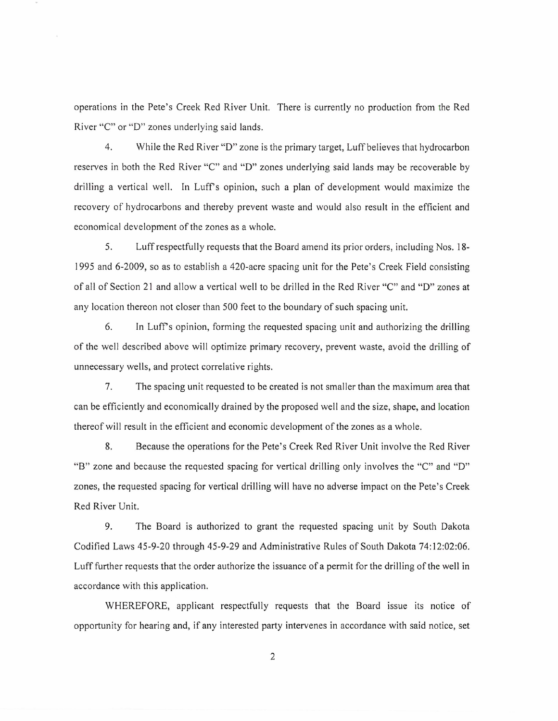operations in the Pete's Creek Red River Unit. There is currently no production from the Red River "C" or "D" zones underlying said lands.

4. While the Red River "D" zone is the primary target, Luff believes that hydrocarbon reserves in both the Red River "C" and "D" zones underlying said lands may be recoverable by drilling a vertical well. In Luff's opinion, such a plan of development would maximize the recovery of hydrocarbons and thereby prevent waste and would also result in the efficient and economical development of the zones as a whole.

5. Luff respectfully requests that the Board amend its prior orders, including Nos. 18- 1995 and 6-2009, so as to establish a 420-acre spacing unit for the Pete's Creek Field consisting of all of Section 21 and allow a vertical well to be drilled in the Red River "C" and "D" zones at any location thereon not closer than 500 feet to the boundary of such spacing unit.

6. In Luff's opinion, forming the requested spacing unit and authorizing the drilling of the well described above will optimize primary recovery, prevent waste, avoid the drilling of unnecessary wells, and protect correlative rights.

7. The spacing unit requested to be created is not smaller than the maximum area that can be efficiently and economically drained by the proposed well and the size, shape, and location thereof will result in the efficient and economic development of the zones as a whole.

8. Because the operations for the Pete's Creek Red River Unit involve the Red River "B" zone and because the requested spacing for vertical drilling only involves the "C" and "D" zones, the requested spacing for vertical drilling will have no adverse impact on the Pete's Creek Red River Unit.

9. The Board is authorized to grant the requested spacing unit by South Dakota Codified Laws 45-9-20 through 45-9-29 and Administrative Rules of South Dakota 74:12:02:06. Luff further requests that the order authorize the issuance of a permit for the drilling of the well in accordance with this application.

WHEREFORE, applicant respectfully requests that the Board issue its notice of opportunity for hearing and, if any interested party intervenes in accordance with said notice, set

2